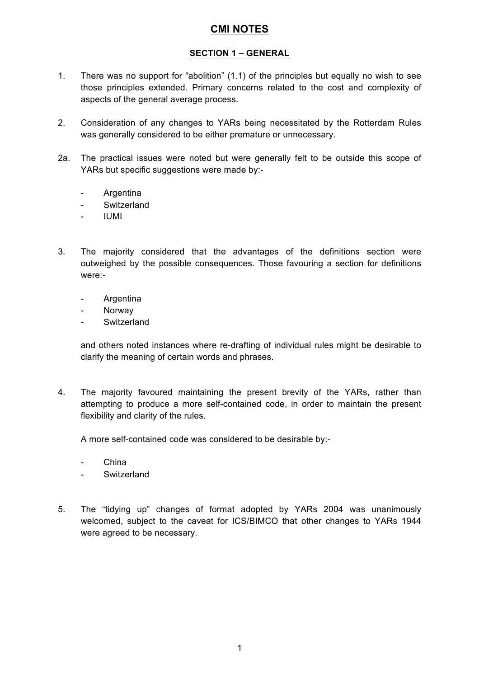### **SECTION 1 – GENERAL**

- 1. There was no support for "abolition" (1.1) of the principles but equally no wish to see those principles extended. Primary concerns related to the cost and complexity of aspects of the general average process.
- 2. Consideration of any changes to YARs being necessitated by the Rotterdam Rules was generally considered to be either premature or unnecessary.
- 2a. The practical issues were noted but were generally felt to be outside this scope of YARs but specific suggestions were made by:-
	- Argentina
	- Switzerland
	- IUMI
- 3. The majority considered that the advantages of the definitions section were outweighed by the possible consequences. Those favouring a section for definitions were:-
	- **Argentina**
	- **Norway**
	- Switzerland

and others noted instances where re-drafting of individual rules might be desirable to clarify the meaning of certain words and phrases.

4. The majority favoured maintaining the present brevity of the YARs, rather than attempting to produce a more self-contained code, in order to maintain the present flexibility and clarity of the rules.

A more self-contained code was considered to be desirable by:-

- China
- **Switzerland**
- 5. The "tidying up" changes of format adopted by YARs 2004 was unanimously welcomed, subject to the caveat for ICS/BIMCO that other changes to YARs 1944 were agreed to be necessary.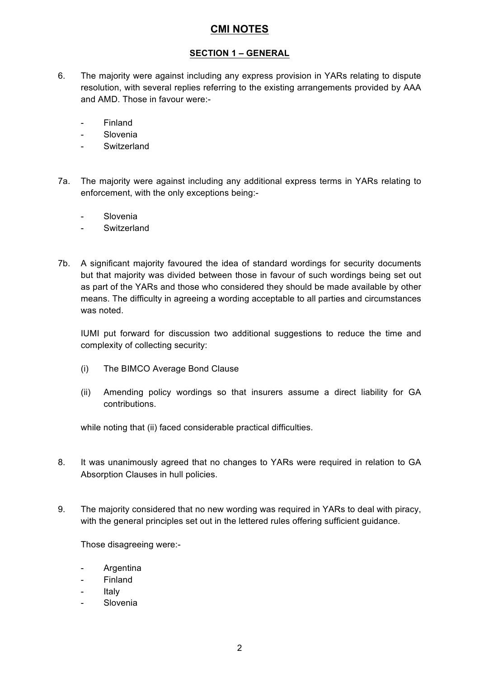### **SECTION 1 – GENERAL**

- 6. The majority were against including any express provision in YARs relating to dispute resolution, with several replies referring to the existing arrangements provided by AAA and AMD. Those in favour were:-
	- **Finland**
	- Slovenia
	- Switzerland
- 7a. The majority were against including any additional express terms in YARs relating to enforcement, with the only exceptions being:-
	- **Slovenia**
	- **Switzerland**
- 7b. A significant majority favoured the idea of standard wordings for security documents but that majority was divided between those in favour of such wordings being set out as part of the YARs and those who considered they should be made available by other means. The difficulty in agreeing a wording acceptable to all parties and circumstances was noted.

IUMI put forward for discussion two additional suggestions to reduce the time and complexity of collecting security:

- (i) The BIMCO Average Bond Clause
- (ii) Amending policy wordings so that insurers assume a direct liability for GA contributions.

while noting that (ii) faced considerable practical difficulties.

- 8. It was unanimously agreed that no changes to YARs were required in relation to GA Absorption Clauses in hull policies.
- 9. The majority considered that no new wording was required in YARs to deal with piracy, with the general principles set out in the lettered rules offering sufficient guidance.

Those disagreeing were:-

- **Argentina**
- Finland
- **Italy**
- **Slovenia**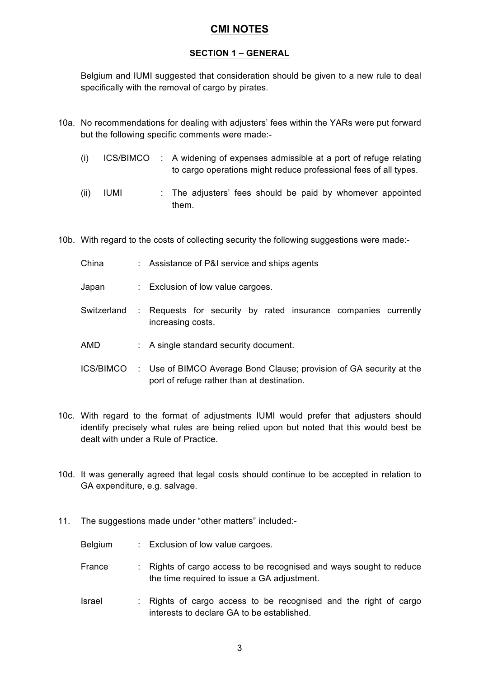#### **SECTION 1 – GENERAL**

Belgium and IUMI suggested that consideration should be given to a new rule to deal specifically with the removal of cargo by pirates.

- 10a. No recommendations for dealing with adjusters' fees within the YARs were put forward but the following specific comments were made:-
	- (i) ICS/BIMCO : A widening of expenses admissible at a port of refuge relating to cargo operations might reduce professional fees of all types.
	- $(i)$  IUMI : The adjusters' fees should be paid by whomever appointed them.
- 10b. With regard to the costs of collecting security the following suggestions were made:-
	- China : Assistance of P&I service and ships agents
	- Japan : Exclusion of low value cargoes.
	- Switzerland : Requests for security by rated insurance companies currently increasing costs.
	- AMD : A single standard security document.
	- ICS/BIMCO : Use of BIMCO Average Bond Clause; provision of GA security at the port of refuge rather than at destination.
- 10c. With regard to the format of adjustments IUMI would prefer that adjusters should identify precisely what rules are being relied upon but noted that this would best be dealt with under a Rule of Practice.
- 10d. It was generally agreed that legal costs should continue to be accepted in relation to GA expenditure, e.g. salvage.
- 11. The suggestions made under "other matters" included:-
	- Belgium : Exclusion of low value cargoes.
	- France : Rights of cargo access to be recognised and ways sought to reduce the time required to issue a GA adjustment.
	- Israel : Rights of cargo access to be recognised and the right of cargo interests to declare GA to be established.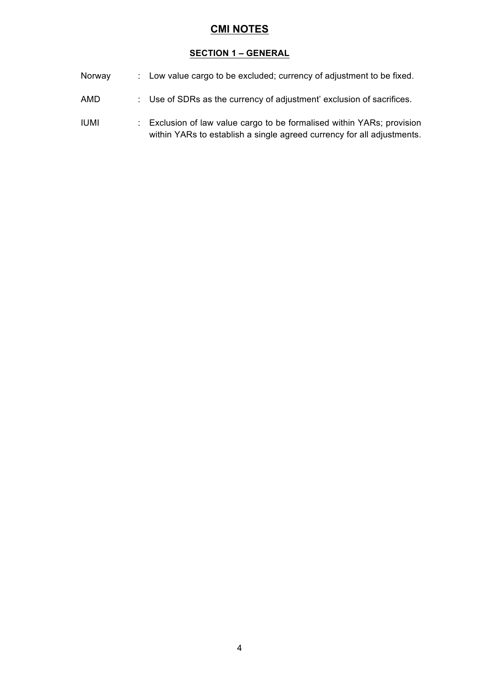#### **SECTION 1 – GENERAL**

- Norway : Low value cargo to be excluded; currency of adjustment to be fixed.
- AMD : Use of SDRs as the currency of adjustment' exclusion of sacrifices.
- IUMI : Exclusion of law value cargo to be formalised within YARs; provision within YARs to establish a single agreed currency for all adjustments.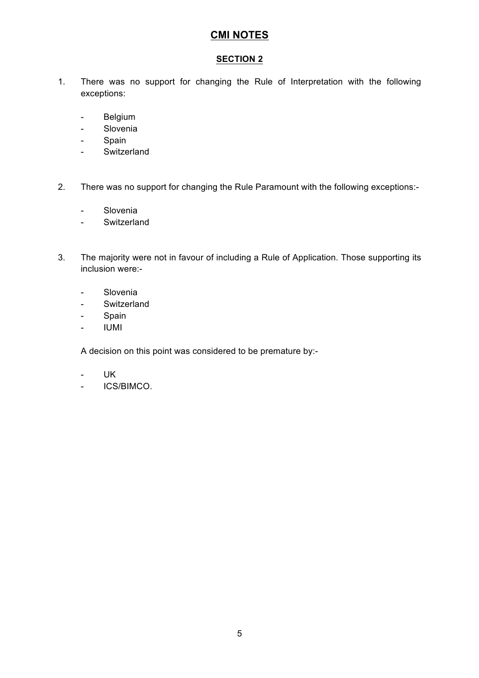### **SECTION 2**

- 1. There was no support for changing the Rule of Interpretation with the following exceptions:
	- Belgium
	- Slovenia
	- Spain
	- Switzerland
- 2. There was no support for changing the Rule Paramount with the following exceptions:-
	- Slovenia
	- Switzerland
- 3. The majority were not in favour of including a Rule of Application. Those supporting its inclusion were:-
	- Slovenia
	- Switzerland
	- Spain
	- IUMI

A decision on this point was considered to be premature by:-

- UK
- ICS/BIMCO.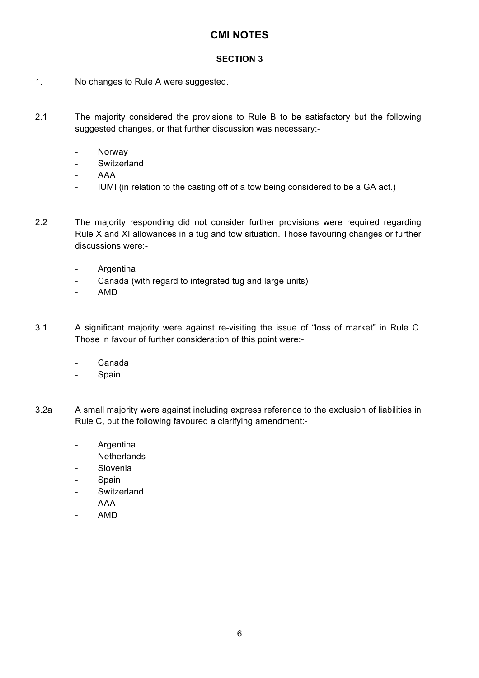### **SECTION 3**

- 1. No changes to Rule A were suggested.
- 2.1 The majority considered the provisions to Rule B to be satisfactory but the following suggested changes, or that further discussion was necessary:-
	- Norway
	- Switzerland
	- AAA
	- IUMI (in relation to the casting off of a tow being considered to be a GA act.)
- 2.2 The majority responding did not consider further provisions were required regarding Rule X and XI allowances in a tug and tow situation. Those favouring changes or further discussions were:-
	- Argentina
	- Canada (with regard to integrated tug and large units)
	- AMD
- 3.1 A significant majority were against re-visiting the issue of "loss of market" in Rule C. Those in favour of further consideration of this point were:-
	- Canada
	- Spain
- 3.2a A small majority were against including express reference to the exclusion of liabilities in Rule C, but the following favoured a clarifying amendment:-
	- Argentina
	- Netherlands
	- Slovenia
	- Spain
	- Switzerland
	- AAA
	- AMD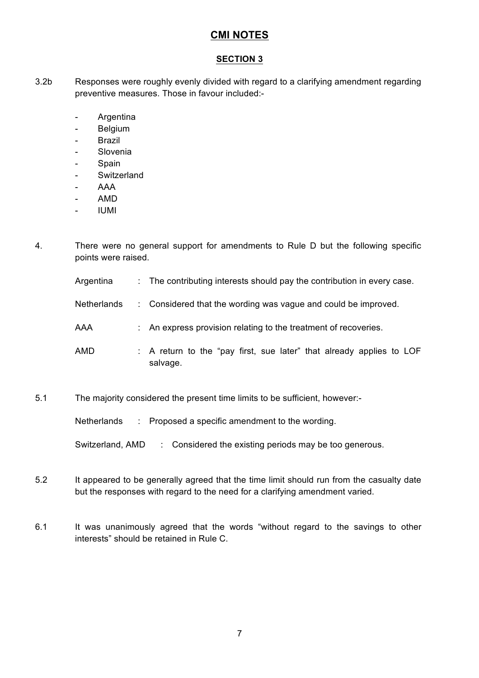### **SECTION 3**

- 3.2b Responses were roughly evenly divided with regard to a clarifying amendment regarding preventive measures. Those in favour included:-
	- Argentina
	- Belgium
	- **Brazil**
	- Slovenia
	- Spain
	- Switzerland
	- AAA
	- AMD
	- IUMI
- 4. There were no general support for amendments to Rule D but the following specific points were raised.
	- Argentina : The contributing interests should pay the contribution in every case.
	- Netherlands : Considered that the wording was vague and could be improved.
	- AAA : An express provision relating to the treatment of recoveries.
	- AMD : A return to the "pay first, sue later" that already applies to LOF salvage.
- 5.1 The majority considered the present time limits to be sufficient, however:-

Netherlands : Proposed a specific amendment to the wording.

Switzerland, AMD : Considered the existing periods may be too generous.

- 5.2 It appeared to be generally agreed that the time limit should run from the casualty date but the responses with regard to the need for a clarifying amendment varied.
- 6.1 It was unanimously agreed that the words "without regard to the savings to other interests" should be retained in Rule C.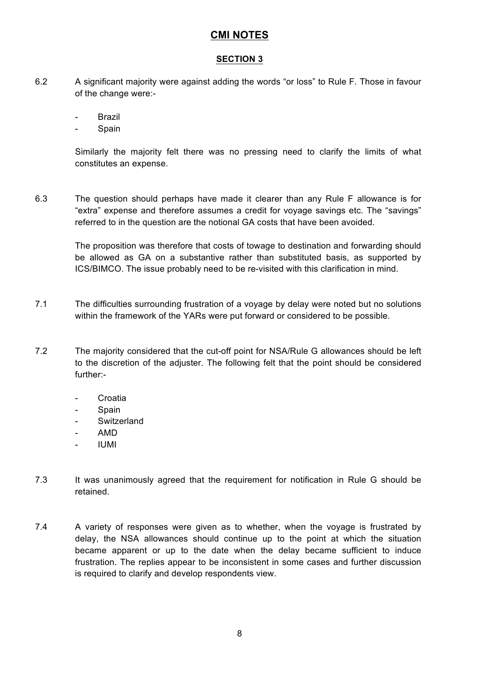#### **SECTION 3**

- 6.2 A significant majority were against adding the words "or loss" to Rule F. Those in favour of the change were:-
	- Brazil
	- Spain

Similarly the majority felt there was no pressing need to clarify the limits of what constitutes an expense.

6.3 The question should perhaps have made it clearer than any Rule F allowance is for "extra" expense and therefore assumes a credit for voyage savings etc. The "savings" referred to in the question are the notional GA costs that have been avoided.

> The proposition was therefore that costs of towage to destination and forwarding should be allowed as GA on a substantive rather than substituted basis, as supported by ICS/BIMCO. The issue probably need to be re-visited with this clarification in mind.

- 7.1 The difficulties surrounding frustration of a voyage by delay were noted but no solutions within the framework of the YARs were put forward or considered to be possible.
- 7.2 The majority considered that the cut-off point for NSA/Rule G allowances should be left to the discretion of the adjuster. The following felt that the point should be considered further:-
	- **Croatia**
	- Spain
	- Switzerland
	- AMD
	- IUMI
- 7.3 It was unanimously agreed that the requirement for notification in Rule G should be retained.
- 7.4 A variety of responses were given as to whether, when the voyage is frustrated by delay, the NSA allowances should continue up to the point at which the situation became apparent or up to the date when the delay became sufficient to induce frustration. The replies appear to be inconsistent in some cases and further discussion is required to clarify and develop respondents view.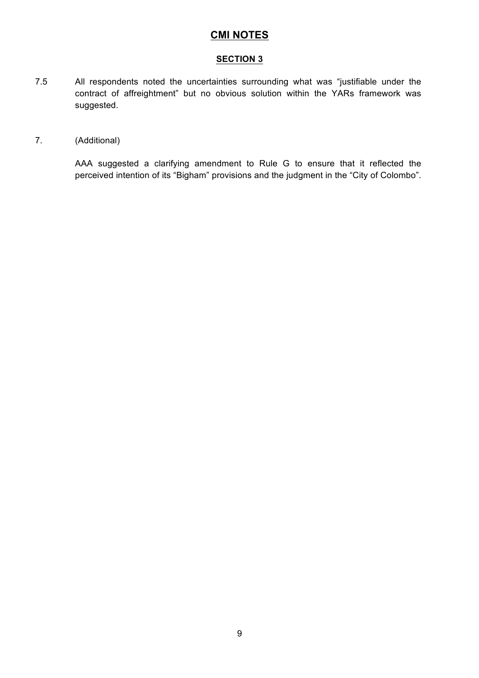#### **SECTION 3**

7.5 All respondents noted the uncertainties surrounding what was "justifiable under the contract of affreightment" but no obvious solution within the YARs framework was suggested.

#### 7. (Additional)

AAA suggested a clarifying amendment to Rule G to ensure that it reflected the perceived intention of its "Bigham" provisions and the judgment in the "City of Colombo".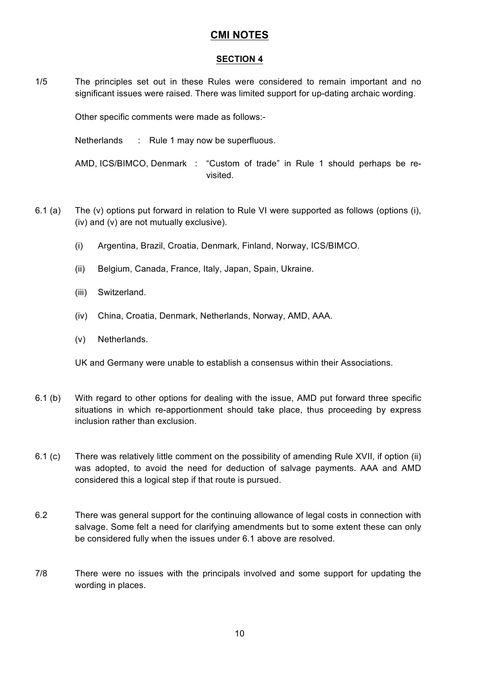#### **SECTION 4**

1/5 The principles set out in these Rules were considered to remain important and no significant issues were raised. There was limited support for up-dating archaic wording.

Other specific comments were made as follows:-

Netherlands : Rule 1 may now be superfluous.

AMD, ICS/BIMCO, Denmark : "Custom of trade" in Rule 1 should perhaps be revisited.

- 6.1 (a) The (v) options put forward in relation to Rule VI were supported as follows (options (i), (iv) and (v) are not mutually exclusive).
	- (i) Argentina, Brazil, Croatia, Denmark, Finland, Norway, ICS/BIMCO.
	- (ii) Belgium, Canada, France, Italy, Japan, Spain, Ukraine.
	- (iii) Switzerland.
	- (iv) China, Croatia, Denmark, Netherlands, Norway, AMD, AAA.
	- (v) Netherlands.

UK and Germany were unable to establish a consensus within their Associations.

- 6.1 (b) With regard to other options for dealing with the issue, AMD put forward three specific situations in which re-apportionment should take place, thus proceeding by express inclusion rather than exclusion.
- 6.1 (c) There was relatively little comment on the possibility of amending Rule XVII, if option (ii) was adopted, to avoid the need for deduction of salvage payments. AAA and AMD considered this a logical step if that route is pursued.
- 6.2 There was general support for the continuing allowance of legal costs in connection with salvage. Some felt a need for clarifying amendments but to some extent these can only be considered fully when the issues under 6.1 above are resolved.
- 7/8 There were no issues with the principals involved and some support for updating the wording in places.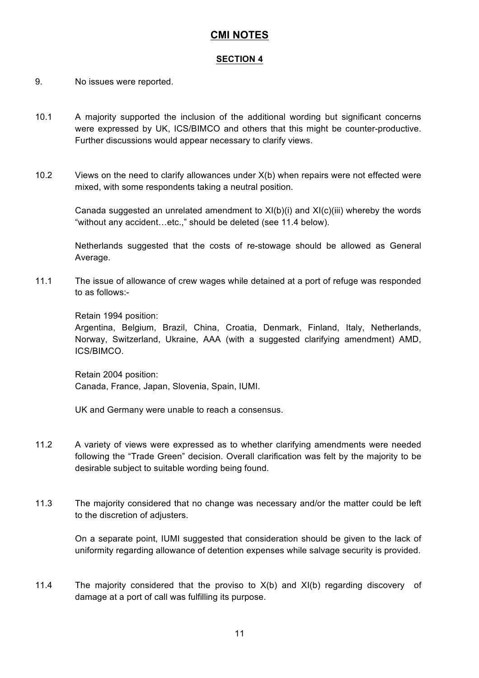#### **SECTION 4**

- 9. No issues were reported.
- 10.1 A majority supported the inclusion of the additional wording but significant concerns were expressed by UK, ICS/BIMCO and others that this might be counter-productive. Further discussions would appear necessary to clarify views.
- 10.2 Views on the need to clarify allowances under X(b) when repairs were not effected were mixed, with some respondents taking a neutral position.

Canada suggested an unrelated amendment to  $XI(b)(i)$  and  $XI(c)(iii)$  whereby the words "without any accident…etc.," should be deleted (see 11.4 below).

Netherlands suggested that the costs of re-stowage should be allowed as General Average.

11.1 The issue of allowance of crew wages while detained at a port of refuge was responded to as follows:-

Retain 1994 position:

Argentina, Belgium, Brazil, China, Croatia, Denmark, Finland, Italy, Netherlands, Norway, Switzerland, Ukraine, AAA (with a suggested clarifying amendment) AMD, ICS/BIMCO.

Retain 2004 position: Canada, France, Japan, Slovenia, Spain, IUMI.

UK and Germany were unable to reach a consensus.

- 11.2 A variety of views were expressed as to whether clarifying amendments were needed following the "Trade Green" decision. Overall clarification was felt by the majority to be desirable subject to suitable wording being found.
- 11.3 The majority considered that no change was necessary and/or the matter could be left to the discretion of adjusters.

On a separate point, IUMI suggested that consideration should be given to the lack of uniformity regarding allowance of detention expenses while salvage security is provided.

11.4 The majority considered that the proviso to X(b) and XI(b) regarding discovery of damage at a port of call was fulfilling its purpose.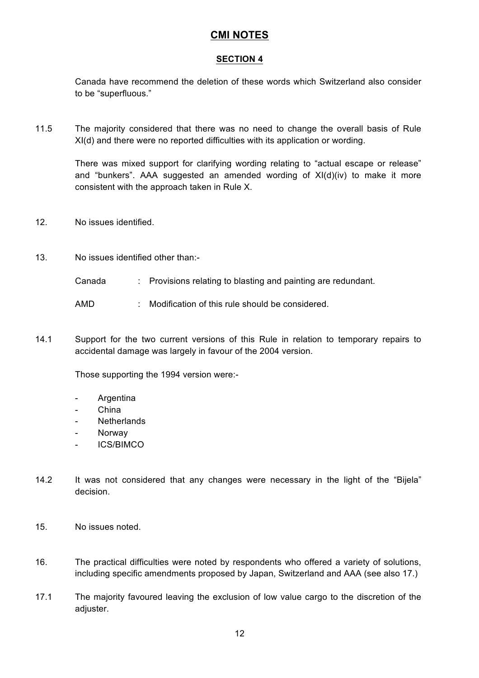#### **SECTION 4**

Canada have recommend the deletion of these words which Switzerland also consider to be "superfluous."

11.5 The majority considered that there was no need to change the overall basis of Rule XI(d) and there were no reported difficulties with its application or wording.

> There was mixed support for clarifying wording relating to "actual escape or release" and "bunkers". AAA suggested an amended wording of XI(d)(iv) to make it more consistent with the approach taken in Rule X.

- 12. No issues identified.
- 13. No issues identified other than:-
	- Canada : Provisions relating to blasting and painting are redundant.

AMD : Modification of this rule should be considered.

14.1 Support for the two current versions of this Rule in relation to temporary repairs to accidental damage was largely in favour of the 2004 version.

Those supporting the 1994 version were:-

- **Argentina**
- China
- Netherlands
- **Norway**
- ICS/BIMCO
- 14.2 It was not considered that any changes were necessary in the light of the "Bijela" decision.
- 15. No issues noted.
- 16. The practical difficulties were noted by respondents who offered a variety of solutions, including specific amendments proposed by Japan, Switzerland and AAA (see also 17.)
- 17.1 The majority favoured leaving the exclusion of low value cargo to the discretion of the adjuster.